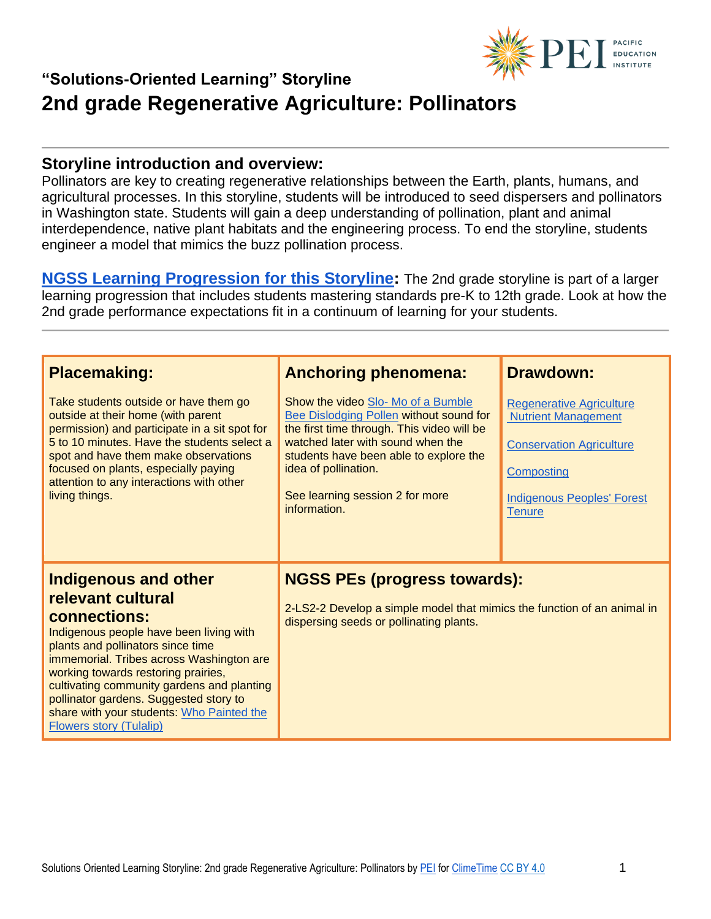

#### **Storyline introduction and overview:**

Pollinators are key to creating regenerative relationships between the Earth, plants, humans, and agricultural processes. In this storyline, students will be introduced to seed dispersers and pollinators in Washington state. Students will gain a deep understanding of pollination, plant and animal interdependence, native plant habitats and the engineering process. To end the storyline, students engineer a model that mimics the buzz pollination process.

**[NGSS Learning Progression for this Storyline:](https://pacificeductioninstitute.sharepoint.com/:x:/s/Program/EQ6jx72eybpMoG6LAwvMxSIBOk8hoF2Tlk827quJB_Kg0g?e=6u21Om)** The 2nd grade storyline is part of a larger learning progression that includes students mastering standards pre-K to 12th grade. Look at how the 2nd grade performance expectations fit in a continuum of learning for your students.

| <b>Placemaking:</b><br>Take students outside or have them go<br>outside at their home (with parent<br>permission) and participate in a sit spot for                                                                                                                                                                                                                                                 | <b>Anchoring phenomena:</b><br>Show the video Slo- Mo of a Bumble<br>Bee Dislodging Pollen without sound for<br>the first time through. This video will be | <b>Drawdown:</b><br><b>Regenerative Agriculture</b><br><b>Nutrient Management</b>                   |
|-----------------------------------------------------------------------------------------------------------------------------------------------------------------------------------------------------------------------------------------------------------------------------------------------------------------------------------------------------------------------------------------------------|------------------------------------------------------------------------------------------------------------------------------------------------------------|-----------------------------------------------------------------------------------------------------|
| 5 to 10 minutes. Have the students select a<br>spot and have them make observations<br>focused on plants, especially paying<br>attention to any interactions with other<br>living things.                                                                                                                                                                                                           | watched later with sound when the<br>students have been able to explore the<br>idea of pollination.<br>See learning session 2 for more<br>information.     | <b>Conservation Agriculture</b><br>Composting<br><b>Indigenous Peoples' Forest</b><br><b>Tenure</b> |
| Indigenous and other<br>relevant cultural<br>connections:<br>Indigenous people have been living with<br>plants and pollinators since time<br>immemorial. Tribes across Washington are<br>working towards restoring prairies,<br>cultivating community gardens and planting<br>pollinator gardens. Suggested story to<br>share with your students: Who Painted the<br><b>Flowers story (Tulalip)</b> | <b>NGSS PEs (progress towards):</b><br>2-LS2-2 Develop a simple model that mimics the function of an animal in<br>dispersing seeds or pollinating plants.  |                                                                                                     |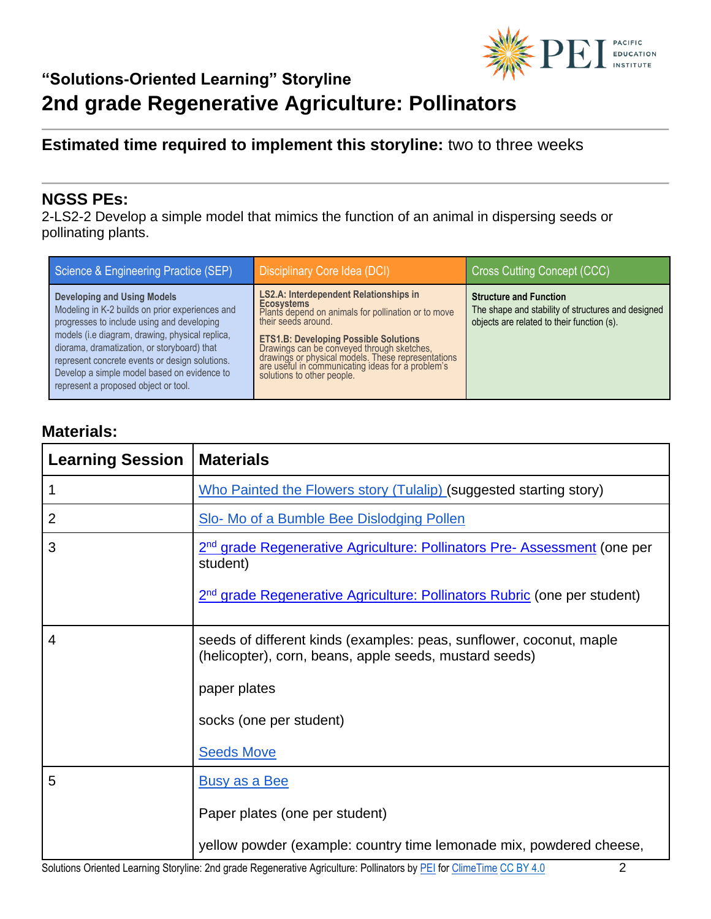

## **Estimated time required to implement this storyline:** two to three weeks

### **NGSS PEs:**

2-LS2-2 Develop a simple model that mimics the function of an animal in dispersing seeds or pollinating plants.

| Science & Engineering Practice (SEP)                                                                                                                                                                                                                                                                                                                                           | Disciplinary Core Idea (DCI)                                                                                                                                                                                                                                                                                                                                                            | Cross Cutting Concept (CCC)                                                                                                       |
|--------------------------------------------------------------------------------------------------------------------------------------------------------------------------------------------------------------------------------------------------------------------------------------------------------------------------------------------------------------------------------|-----------------------------------------------------------------------------------------------------------------------------------------------------------------------------------------------------------------------------------------------------------------------------------------------------------------------------------------------------------------------------------------|-----------------------------------------------------------------------------------------------------------------------------------|
| <b>Developing and Using Models</b><br>Modeling in K-2 builds on prior experiences and<br>progresses to include using and developing<br>models (i.e diagram, drawing, physical replica,<br>diorama, dramatization, or storyboard) that<br>represent concrete events or design solutions.<br>Develop a simple model based on evidence to<br>represent a proposed object or tool. | <b>LS2.A: Interdependent Relationships in</b><br><b>Ecosystems</b><br>Plants depend on animals for pollination or to move<br>their seeds around.<br><b>ETS1.B: Developing Possible Solutions</b><br>Drawings can be conveyed through sketches,<br>drawings or physical models. These representations<br>are useful in communicating ideas for a problem's<br>solutions to other people. | <b>Structure and Function</b><br>The shape and stability of structures and designed<br>objects are related to their function (s). |

## **Materials:**

| <b>Learning Session</b> | <b>Materials</b>                                                                                                              |
|-------------------------|-------------------------------------------------------------------------------------------------------------------------------|
|                         | Who Painted the Flowers story (Tulalip) (suggested starting story)                                                            |
| $\overline{2}$          | Slo- Mo of a Bumble Bee Dislodging Pollen                                                                                     |
| 3                       | 2 <sup>nd</sup> grade Regenerative Agriculture: Pollinators Pre- Assessment (one per<br>student)                              |
|                         | 2 <sup>nd</sup> grade Regenerative Agriculture: Pollinators Rubric (one per student)                                          |
| $\overline{4}$          | seeds of different kinds (examples: peas, sunflower, coconut, maple<br>(helicopter), corn, beans, apple seeds, mustard seeds) |
|                         | paper plates                                                                                                                  |
|                         | socks (one per student)                                                                                                       |
|                         | <b>Seeds Move</b>                                                                                                             |
| 5                       | <b>Busy as a Bee</b>                                                                                                          |
|                         | Paper plates (one per student)                                                                                                |
|                         | yellow powder (example: country time lemonade mix, powdered cheese,                                                           |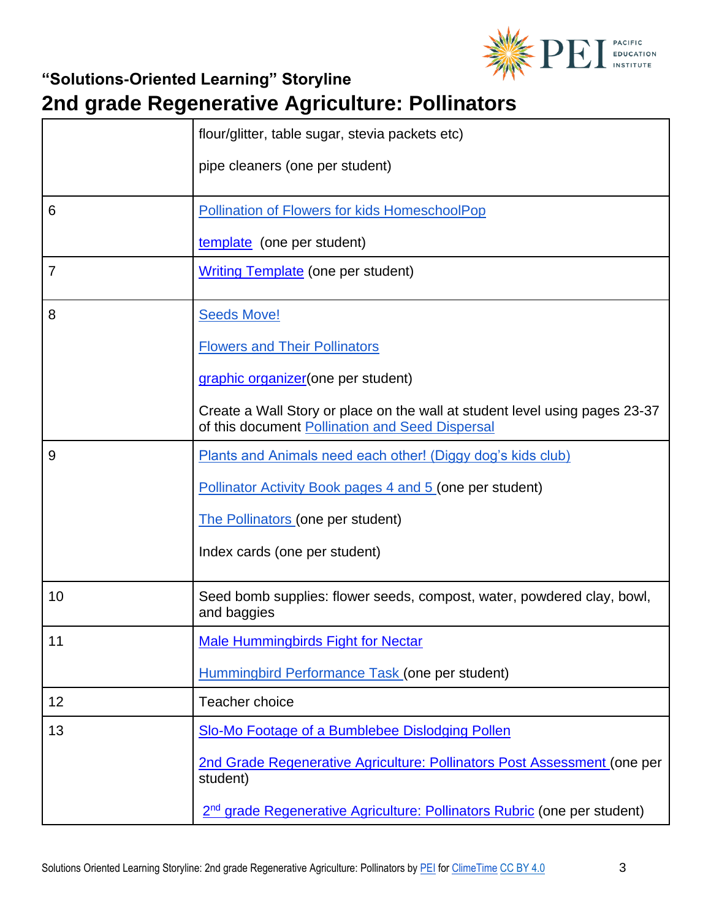

|                | flour/glitter, table sugar, stevia packets etc)                                                                                |
|----------------|--------------------------------------------------------------------------------------------------------------------------------|
|                | pipe cleaners (one per student)                                                                                                |
| 6              | <b>Pollination of Flowers for kids HomeschoolPop</b>                                                                           |
|                | template (one per student)                                                                                                     |
| $\overline{7}$ | <b>Writing Template</b> (one per student)                                                                                      |
| 8              | <b>Seeds Move!</b>                                                                                                             |
|                | <b>Flowers and Their Pollinators</b>                                                                                           |
|                | graphic organizer (one per student)                                                                                            |
|                | Create a Wall Story or place on the wall at student level using pages 23-37<br>of this document Pollination and Seed Dispersal |
| 9              | Plants and Animals need each other! (Diggy dog's kids club)                                                                    |
|                | <b>Pollinator Activity Book pages 4 and 5 (one per student)</b>                                                                |
|                | <b>The Pollinators (one per student)</b>                                                                                       |
|                | Index cards (one per student)                                                                                                  |
| 10             | Seed bomb supplies: flower seeds, compost, water, powdered clay, bowl,<br>and baggies                                          |
| 11             | <b>Male Hummingbirds Fight for Nectar</b>                                                                                      |
|                | Hummingbird Performance Task (one per student)                                                                                 |
| 12             | Teacher choice                                                                                                                 |
| 13             | Slo-Mo Footage of a Bumblebee Dislodging Pollen                                                                                |
|                | 2nd Grade Regenerative Agriculture: Pollinators Post Assessment (one per<br>student)                                           |
|                | 2 <sup>nd</sup> grade Regenerative Agriculture: Pollinators Rubric (one per student)                                           |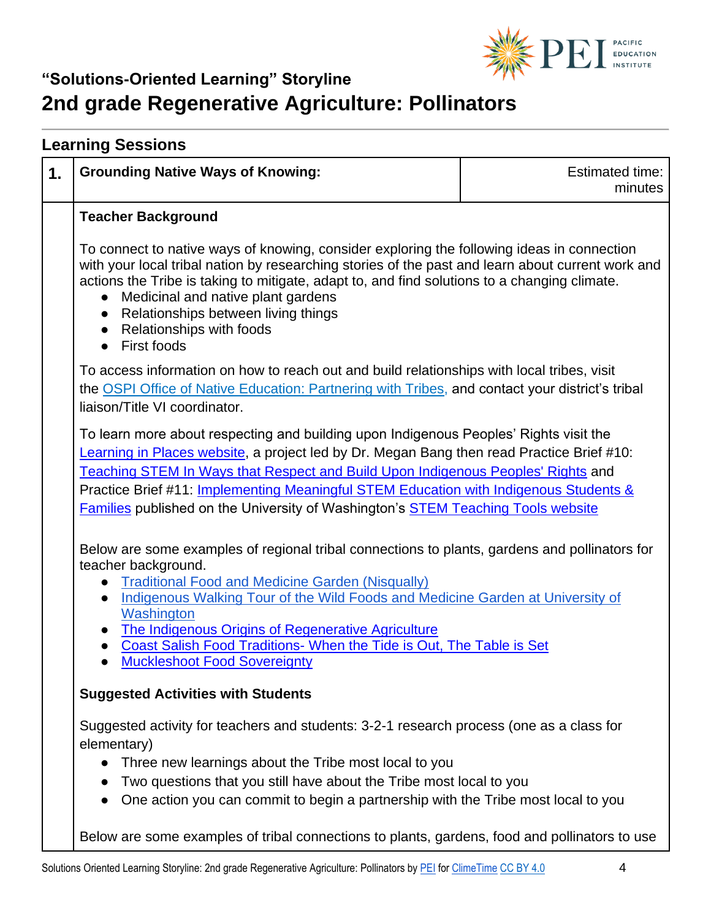

|                                                                                                                                                                                                                                                                                                                                                                                                                                                            | <b>Grounding Native Ways of Knowing:</b>                                                                                                                                                                                                                                                                                                                                                                                                                                                    | <b>Estimated time:</b><br>minutes |
|------------------------------------------------------------------------------------------------------------------------------------------------------------------------------------------------------------------------------------------------------------------------------------------------------------------------------------------------------------------------------------------------------------------------------------------------------------|---------------------------------------------------------------------------------------------------------------------------------------------------------------------------------------------------------------------------------------------------------------------------------------------------------------------------------------------------------------------------------------------------------------------------------------------------------------------------------------------|-----------------------------------|
|                                                                                                                                                                                                                                                                                                                                                                                                                                                            | <b>Teacher Background</b>                                                                                                                                                                                                                                                                                                                                                                                                                                                                   |                                   |
|                                                                                                                                                                                                                                                                                                                                                                                                                                                            | To connect to native ways of knowing, consider exploring the following ideas in connection<br>with your local tribal nation by researching stories of the past and learn about current work and<br>actions the Tribe is taking to mitigate, adapt to, and find solutions to a changing climate.<br>Medicinal and native plant gardens<br>Relationships between living things<br>$\bullet$<br>Relationships with foods<br>$\bullet$<br>First foods<br>$\bullet$                              |                                   |
|                                                                                                                                                                                                                                                                                                                                                                                                                                                            | To access information on how to reach out and build relationships with local tribes, visit<br>the OSPI Office of Native Education: Partnering with Tribes, and contact your district's tribal<br>liaison/Title VI coordinator.                                                                                                                                                                                                                                                              |                                   |
| To learn more about respecting and building upon Indigenous Peoples' Rights visit the<br>Learning in Places website, a project led by Dr. Megan Bang then read Practice Brief #10:<br>Teaching STEM In Ways that Respect and Build Upon Indigenous Peoples' Rights and<br>Practice Brief #11: Implementing Meaningful STEM Education with Indigenous Students &<br><b>Families published on the University of Washington's STEM Teaching Tools website</b> |                                                                                                                                                                                                                                                                                                                                                                                                                                                                                             |                                   |
|                                                                                                                                                                                                                                                                                                                                                                                                                                                            | Below are some examples of regional tribal connections to plants, gardens and pollinators for<br>teacher background.<br><b>Traditional Food and Medicine Garden (Nisqually)</b><br>Indigenous Walking Tour of the Wild Foods and Medicine Garden at University of<br>$\bullet$<br>Washington<br>The Indigenous Origins of Regenerative Agriculture<br>$\bullet$<br>Coast Salish Food Traditions- When the Tide is Out, The Table is Set<br>$\bullet$<br><b>Muckleshoot Food Sovereignty</b> |                                   |
|                                                                                                                                                                                                                                                                                                                                                                                                                                                            | <b>Suggested Activities with Students</b>                                                                                                                                                                                                                                                                                                                                                                                                                                                   |                                   |
|                                                                                                                                                                                                                                                                                                                                                                                                                                                            | Suggested activity for teachers and students: 3-2-1 research process (one as a class for<br>elementary)<br>Three new learnings about the Tribe most local to you<br>Two questions that you still have about the Tribe most local to you                                                                                                                                                                                                                                                     |                                   |
|                                                                                                                                                                                                                                                                                                                                                                                                                                                            | One action you can commit to begin a partnership with the Tribe most local to you                                                                                                                                                                                                                                                                                                                                                                                                           |                                   |
|                                                                                                                                                                                                                                                                                                                                                                                                                                                            | Below are some examples of tribal connections to plants, gardens, food and pollinators to use                                                                                                                                                                                                                                                                                                                                                                                               |                                   |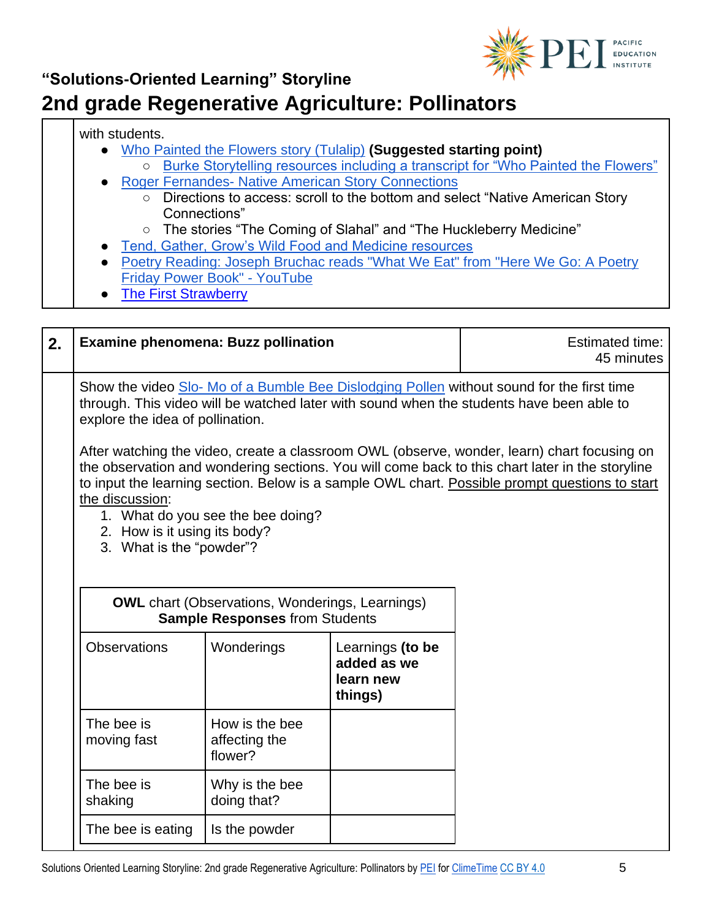

#### with students.

- **[Who Painted the Flowers story \(Tulalip\)](https://www.youtube.com/watch?v=APuuP_OCSbs) (Suggested starting point)** 
	- [Burke Storytelling resources including a transcript for "Who Painted the Flowers"](https://www.burkemuseum.org/sites/default/files/2020-04/burke-storytelling-fnl.pdf) **Roger Fernandes- [Native American Story Connections](https://www.wastatelaser.org/environmental-sustainability-enhanced-lessons/)** 
		- Directions to access: scroll to the bottom and select "Native American Story Connections"
		- The stories "The Coming of Slahal" and "The Huckleberry Medicine"
- [Tend, Gather, Grow's Wild Food and Medicine resources](https://www.goodgrub.org/wild-foods/wild-foods-medicine-resources)
- Poetry Reading: Joseph Bruchac reads "What We Eat" from "Here We Go: A Poetry [Friday Power Book" -](https://www.youtube.com/watch?v=ha5vtaE4bv0) YouTube
- **[The First Strawberry](https://www.youtube.com/watch?v=2WlWsBv1dx4)**

| 2. | <b>Examine phenomena: Buzz pollination</b>                                                                                                                                                                                                                                                                                                                                                                                                                                                                              |                                                                                                                                                                                                                           |                                                         | <b>Estimated time:</b><br>45 minutes |
|----|-------------------------------------------------------------------------------------------------------------------------------------------------------------------------------------------------------------------------------------------------------------------------------------------------------------------------------------------------------------------------------------------------------------------------------------------------------------------------------------------------------------------------|---------------------------------------------------------------------------------------------------------------------------------------------------------------------------------------------------------------------------|---------------------------------------------------------|--------------------------------------|
|    |                                                                                                                                                                                                                                                                                                                                                                                                                                                                                                                         | Show the video Slo- Mo of a Bumble Bee Dislodging Pollen without sound for the first time<br>through. This video will be watched later with sound when the students have been able to<br>explore the idea of pollination. |                                                         |                                      |
|    | After watching the video, create a classroom OWL (observe, wonder, learn) chart focusing on<br>the observation and wondering sections. You will come back to this chart later in the storyline<br>to input the learning section. Below is a sample OWL chart. Possible prompt questions to start<br>the discussion:<br>1. What do you see the bee doing?<br>2. How is it using its body?<br>3. What is the "powder"?<br><b>OWL</b> chart (Observations, Wonderings, Learnings)<br><b>Sample Responses from Students</b> |                                                                                                                                                                                                                           |                                                         |                                      |
|    | <b>Observations</b>                                                                                                                                                                                                                                                                                                                                                                                                                                                                                                     | Wonderings                                                                                                                                                                                                                | Learnings (to be<br>added as we<br>learn new<br>things) |                                      |
|    | The bee is<br>moving fast                                                                                                                                                                                                                                                                                                                                                                                                                                                                                               | How is the bee<br>affecting the<br>flower?                                                                                                                                                                                |                                                         |                                      |
|    | The bee is<br>shaking                                                                                                                                                                                                                                                                                                                                                                                                                                                                                                   | Why is the bee<br>doing that?                                                                                                                                                                                             |                                                         |                                      |
|    | The bee is eating                                                                                                                                                                                                                                                                                                                                                                                                                                                                                                       | Is the powder                                                                                                                                                                                                             |                                                         |                                      |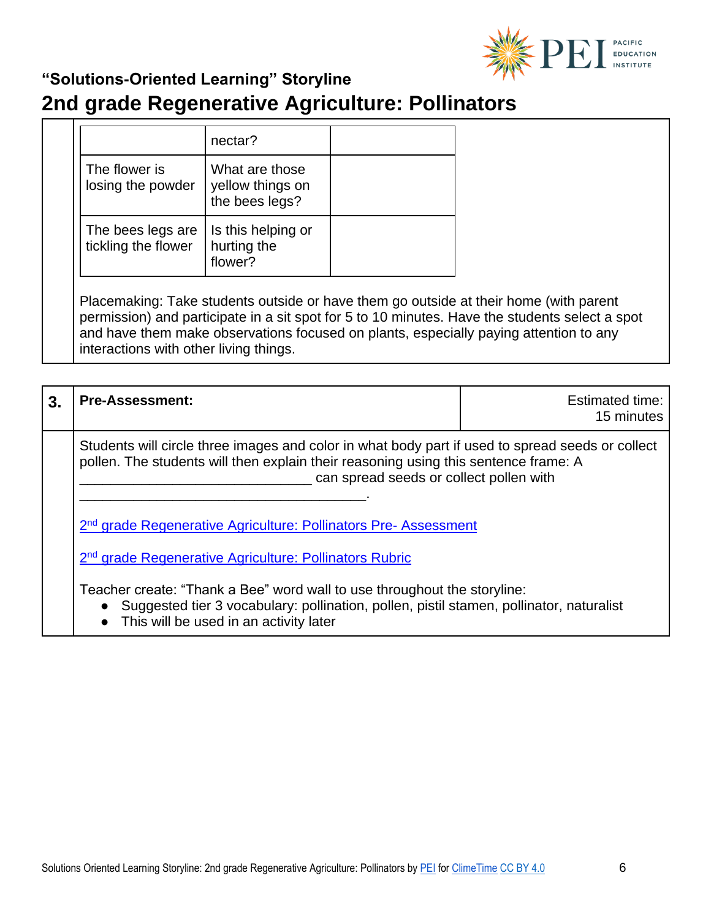

# **2nd grade Regenerative Agriculture: Pollinators**

|                                          | nectar?                                              |  |
|------------------------------------------|------------------------------------------------------|--|
| The flower is<br>losing the powder       | What are those<br>yellow things on<br>the bees legs? |  |
| The bees legs are<br>tickling the flower | Is this helping or<br>hurting the<br>flower?         |  |
|                                          |                                                      |  |

Placemaking: Take students outside or have them go outside at their home (with parent permission) and participate in a sit spot for 5 to 10 minutes. Have the students select a spot and have them make observations focused on plants, especially paying attention to any interactions with other living things.

| 3. | <b>Pre-Assessment:</b>                                                                                                                                                                                                                                                                                                  | Estimated time:<br>15 minutes |
|----|-------------------------------------------------------------------------------------------------------------------------------------------------------------------------------------------------------------------------------------------------------------------------------------------------------------------------|-------------------------------|
|    | Students will circle three images and color in what body part if used to spread seeds or collect<br>pollen. The students will then explain their reasoning using this sentence frame: A<br>can spread seeds or collect pollen with                                                                                      |                               |
|    | 2 <sup>nd</sup> grade Regenerative Agriculture: Pollinators Pre-Assessment<br>2 <sup>nd</sup> grade Regenerative Agriculture: Pollinators Rubric<br>Teacher create: "Thank a Bee" word wall to use throughout the storyline:<br>Suggested tier 3 vocabulary: pollination, pollen, pistil stamen, pollinator, naturalist |                               |
|    |                                                                                                                                                                                                                                                                                                                         |                               |
|    |                                                                                                                                                                                                                                                                                                                         |                               |

This will be used in an activity later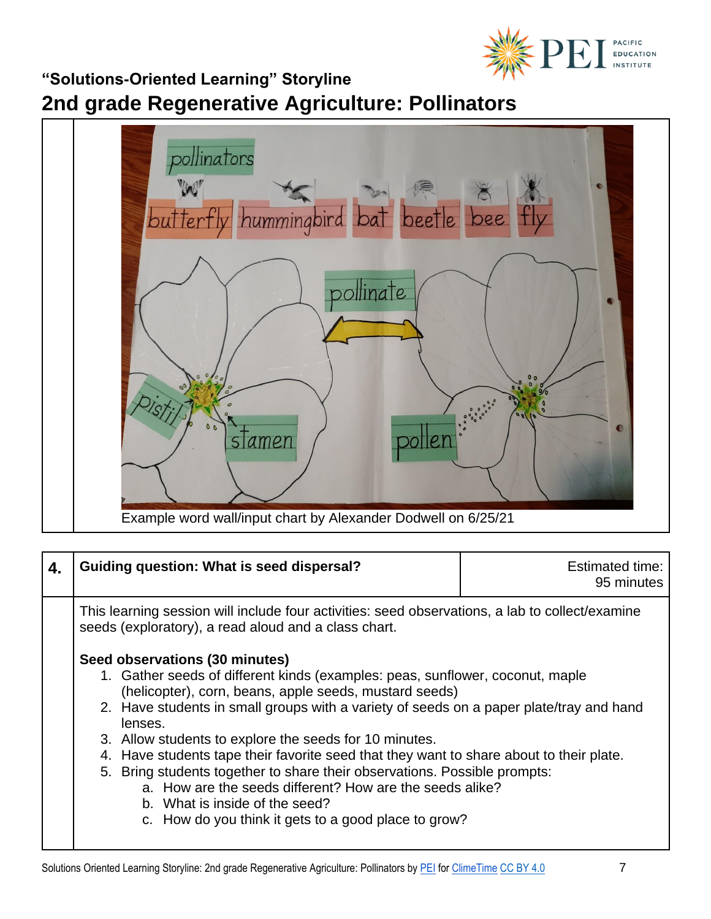

**2nd grade Regenerative Agriculture: Pollinators**



| 4. | <b>Guiding question: What is seed dispersal?</b>                                                                                                                                                                                                                                                                                                                                                                                                                                                                                                                                                                                                                        | <b>Estimated time:</b><br>95 minutes |
|----|-------------------------------------------------------------------------------------------------------------------------------------------------------------------------------------------------------------------------------------------------------------------------------------------------------------------------------------------------------------------------------------------------------------------------------------------------------------------------------------------------------------------------------------------------------------------------------------------------------------------------------------------------------------------------|--------------------------------------|
|    | This learning session will include four activities: seed observations, a lab to collect/examine<br>seeds (exploratory), a read aloud and a class chart.                                                                                                                                                                                                                                                                                                                                                                                                                                                                                                                 |                                      |
|    | Seed observations (30 minutes)<br>1. Gather seeds of different kinds (examples: peas, sunflower, coconut, maple<br>(helicopter), corn, beans, apple seeds, mustard seeds)<br>2. Have students in small groups with a variety of seeds on a paper plate/tray and hand<br>lenses.<br>3. Allow students to explore the seeds for 10 minutes.<br>4. Have students tape their favorite seed that they want to share about to their plate.<br>5. Bring students together to share their observations. Possible prompts:<br>a. How are the seeds different? How are the seeds alike?<br>b. What is inside of the seed?<br>c. How do you think it gets to a good place to grow? |                                      |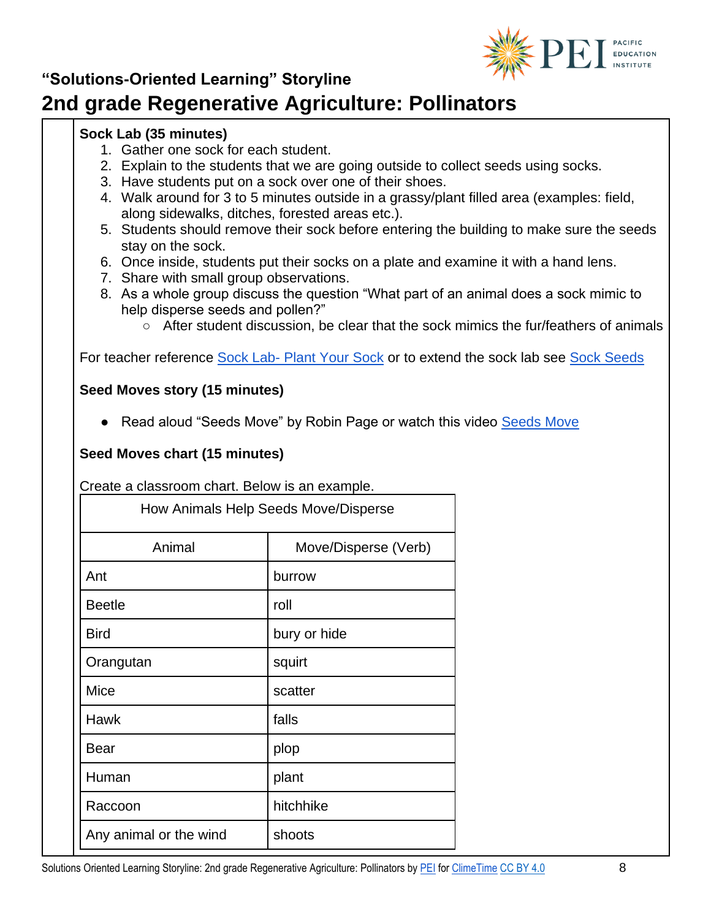

# **2nd grade Regenerative Agriculture: Pollinators**

### **Sock Lab (35 minutes)**

- 1. Gather one sock for each student.
- 2. Explain to the students that we are going outside to collect seeds using socks.
- 3. Have students put on a sock over one of their shoes.
- 4. Walk around for 3 to 5 minutes outside in a grassy/plant filled area (examples: field, along sidewalks, ditches, forested areas etc.).
- 5. Students should remove their sock before entering the building to make sure the seeds stay on the sock.
- 6. Once inside, students put their socks on a plate and examine it with a hand lens.
- 7. Share with small group observations.
- 8. As a whole group discuss the question "What part of an animal does a sock mimic to help disperse seeds and pollen?"
	- After student discussion, be clear that the sock mimics the fur/feathers of animals

For teacher reference Sock Lab- [Plant Your Sock](https://thewonderofscience.com/phenomenon/2018/5/3/plant-your-socks) or to extend the sock lab see [Sock Seeds](https://kcts9.pbslearningmedia.org/resource/tdc02.sci.life.stru.sockseeds/sock-seeds/)

#### **Seed Moves story (15 minutes)**

● Read aloud "Seeds Move" by Robin Page or watch this video [Seeds Move](https://www.youtube.com/watch?v=4dQIIcJZ68c)

### **Seed Moves chart (15 minutes)**

Create a classroom chart. Below is an example.

| How Animals Help Seeds Move/Disperse |                      |  |
|--------------------------------------|----------------------|--|
| Animal                               | Move/Disperse (Verb) |  |
| Ant                                  | burrow               |  |
| <b>Beetle</b>                        | roll                 |  |
| <b>Bird</b>                          | bury or hide         |  |
| Orangutan                            | squirt               |  |
| Mice                                 | scatter              |  |
| <b>Hawk</b>                          | falls                |  |
| <b>Bear</b>                          | plop                 |  |
| Human                                | plant                |  |
| Raccoon                              | hitchhike            |  |
| Any animal or the wind               | shoots               |  |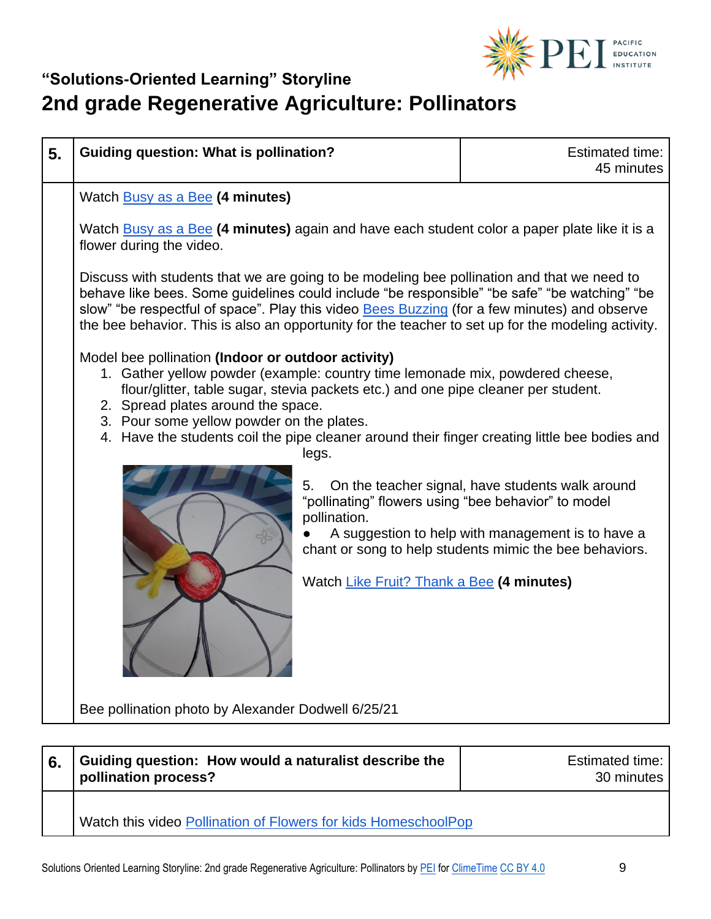

| <b>Guiding question: What is pollination?</b>                                                                                                                                                                                              | <b>Estimated time:</b><br>45 minutes                                                                                                                                                                                                                                                                                                                                                                                                                                                                                                                                                                                                                                                                                                                                                                                                                                                                                                                       |
|--------------------------------------------------------------------------------------------------------------------------------------------------------------------------------------------------------------------------------------------|------------------------------------------------------------------------------------------------------------------------------------------------------------------------------------------------------------------------------------------------------------------------------------------------------------------------------------------------------------------------------------------------------------------------------------------------------------------------------------------------------------------------------------------------------------------------------------------------------------------------------------------------------------------------------------------------------------------------------------------------------------------------------------------------------------------------------------------------------------------------------------------------------------------------------------------------------------|
| Watch <b>Busy as a Bee (4 minutes)</b><br>flower during the video.<br>Model bee pollination (Indoor or outdoor activity)<br>2. Spread plates around the space.<br>3. Pour some yellow powder on the plates.<br>legs.<br>5.<br>pollination. | On the teacher signal, have students walk around<br>A suggestion to help with management is to have a<br>chant or song to help students mimic the bee behaviors.                                                                                                                                                                                                                                                                                                                                                                                                                                                                                                                                                                                                                                                                                                                                                                                           |
|                                                                                                                                                                                                                                            |                                                                                                                                                                                                                                                                                                                                                                                                                                                                                                                                                                                                                                                                                                                                                                                                                                                                                                                                                            |
| Guiding question: How would a naturalist describe the                                                                                                                                                                                      | <b>Estimated time:</b><br>30 minutes                                                                                                                                                                                                                                                                                                                                                                                                                                                                                                                                                                                                                                                                                                                                                                                                                                                                                                                       |
|                                                                                                                                                                                                                                            | Watch Busy as a Bee (4 minutes) again and have each student color a paper plate like it is a<br>Discuss with students that we are going to be modeling bee pollination and that we need to<br>behave like bees. Some guidelines could include "be responsible" "be safe" "be watching" "be<br>slow" "be respectful of space". Play this video Bees Buzzing (for a few minutes) and observe<br>the bee behavior. This is also an opportunity for the teacher to set up for the modeling activity.<br>1. Gather yellow powder (example: country time lemonade mix, powdered cheese,<br>flour/glitter, table sugar, stevia packets etc.) and one pipe cleaner per student.<br>4. Have the students coil the pipe cleaner around their finger creating little bee bodies and<br>"pollinating" flowers using "bee behavior" to model<br>Watch Like Fruit? Thank a Bee (4 minutes)<br>Bee pollination photo by Alexander Dodwell 6/25/21<br>pollination process? |

Watch this video [Pollination of Flowers for kids HomeschoolPop](https://www.youtube.com/watch?v=9AuVm1jpKEA&ab_channel=HomeschoolPop)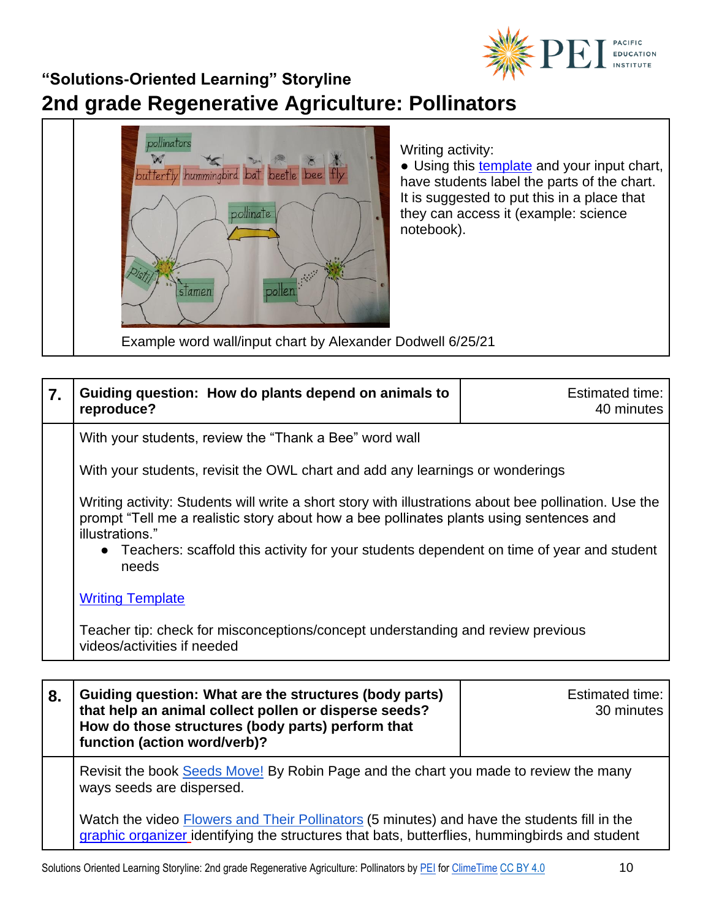

# **2nd grade Regenerative Agriculture: Pollinators**



| $\overline{7}$ . | Guiding question: How do plants depend on animals to<br>reproduce?                                                                                                                                                                                                                                                         | Estimated time:<br>40 minutes |
|------------------|----------------------------------------------------------------------------------------------------------------------------------------------------------------------------------------------------------------------------------------------------------------------------------------------------------------------------|-------------------------------|
|                  | With your students, review the "Thank a Bee" word wall                                                                                                                                                                                                                                                                     |                               |
|                  | With your students, revisit the OWL chart and add any learnings or wonderings                                                                                                                                                                                                                                              |                               |
|                  | Writing activity: Students will write a short story with illustrations about bee pollination. Use the<br>prompt "Tell me a realistic story about how a bee pollinates plants using sentences and<br>illustrations."<br>• Teachers: scaffold this activity for your students dependent on time of year and student<br>needs |                               |
|                  | <b>Writing Template</b>                                                                                                                                                                                                                                                                                                    |                               |
|                  | Teacher tip: check for misconceptions/concept understanding and review previous<br>videos/activities if needed                                                                                                                                                                                                             |                               |
|                  |                                                                                                                                                                                                                                                                                                                            |                               |
| 8.               | Guiding question: What are the structures (body parts)<br>that help an animal collect pollen or disperse seeds?<br>How do those structures (body parts) perform that                                                                                                                                                       | Estimated time:<br>30 minutes |

Revisit the book [Seeds Move!](https://www.youtube.com/watch?v=4dQIIcJZ68c) By Robin Page and the chart you made to review the many ways seeds are dispersed.

Watch the video **Flowers and Their Pollinators** (5 minutes) and have the students fill in the [graphic organizer](https://pacificeductioninstitute.sharepoint.com/:w:/s/Program/EUsNeRfDaipCr6B6yBmTnJ8BWQpCfg8fVaXs9L0nng0s_w?e=AsR7cI) identifying the structures that bats, butterflies, hummingbirds and student

**function (action word/verb)?**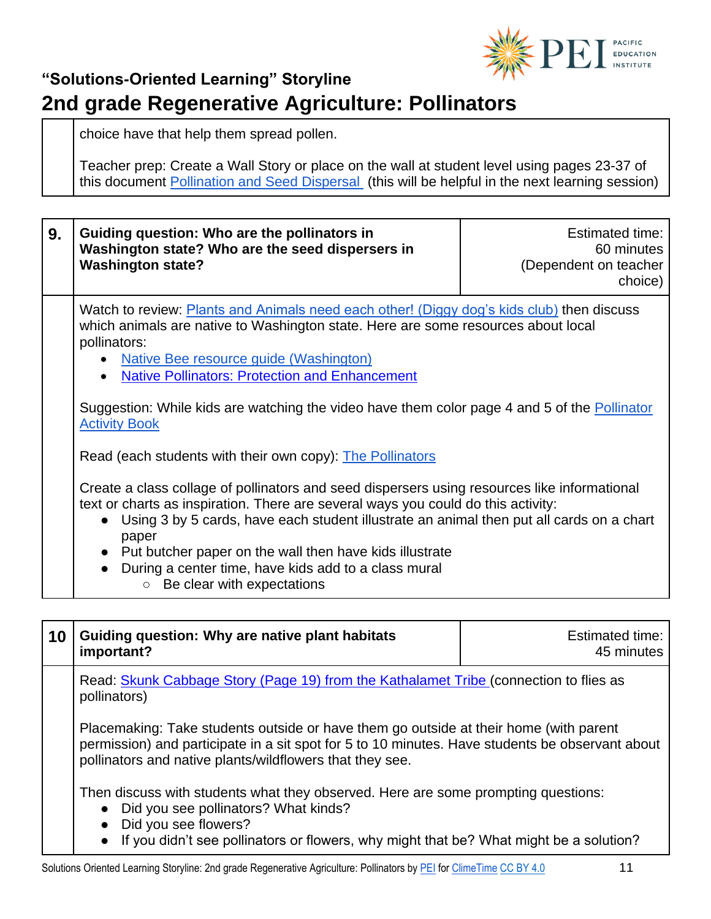

choice have that help them spread pollen.

Teacher prep: Create a Wall Story or place on the wall at student level using pages 23-37 of this document [Pollination and Seed Dispersal](https://www.bccdil.org/wp-content/uploads/2019/08/NGSSGrade2PollinationandSeedDispersalPerformanceAssessment.pdf) (this will be helpful in the next learning session)

| 9. | Guiding question: Who are the pollinators in<br>Washington state? Who are the seed dispersers in<br><b>Washington state?</b>                                                                                                                                                                                                                                                                                                                                                                                     | <b>Estimated time:</b><br>60 minutes<br>(Dependent on teacher<br>choice) |  |
|----|------------------------------------------------------------------------------------------------------------------------------------------------------------------------------------------------------------------------------------------------------------------------------------------------------------------------------------------------------------------------------------------------------------------------------------------------------------------------------------------------------------------|--------------------------------------------------------------------------|--|
|    | Watch to review: Plants and Animals need each other! (Diggy dog's kids club) then discuss<br>which animals are native to Washington state. Here are some resources about local<br>pollinators:<br>Native Bee resource guide (Washington)<br>$\bullet$<br><b>Native Pollinators: Protection and Enhancement</b><br>$\bullet$<br>Suggestion: While kids are watching the video have them color page 4 and 5 of the Pollinator<br><b>Activity Book</b><br>Read (each students with their own copy): The Pollinators |                                                                          |  |
|    |                                                                                                                                                                                                                                                                                                                                                                                                                                                                                                                  |                                                                          |  |
|    | Create a class collage of pollinators and seed dispersers using resources like informational<br>text or charts as inspiration. There are several ways you could do this activity:<br>Using 3 by 5 cards, have each student illustrate an animal then put all cards on a chart<br>$\bullet$<br>paper<br>• Put butcher paper on the wall then have kids illustrate<br>During a center time, have kids add to a class mural<br>Be clear with expectations<br>$\circ$                                                |                                                                          |  |

| 10 | Guiding question: Why are native plant habitats<br>important?                                                                                                                                                                                        | <b>Estimated time:</b><br>45 minutes |  |
|----|------------------------------------------------------------------------------------------------------------------------------------------------------------------------------------------------------------------------------------------------------|--------------------------------------|--|
|    | Read: Skunk Cabbage Story (Page 19) from the Kathalamet Tribe (connection to flies as<br>pollinators)                                                                                                                                                |                                      |  |
|    | Placemaking: Take students outside or have them go outside at their home (with parent<br>permission) and participate in a sit spot for 5 to 10 minutes. Have students be observant about<br>pollinators and native plants/wildflowers that they see. |                                      |  |
|    | Then discuss with students what they observed. Here are some prompting questions:<br>• Did you see pollinators? What kinds?<br>• Did you see flowers?<br>• If you didn't see pollinators or flowers, why might that be? What might be a solution?    |                                      |  |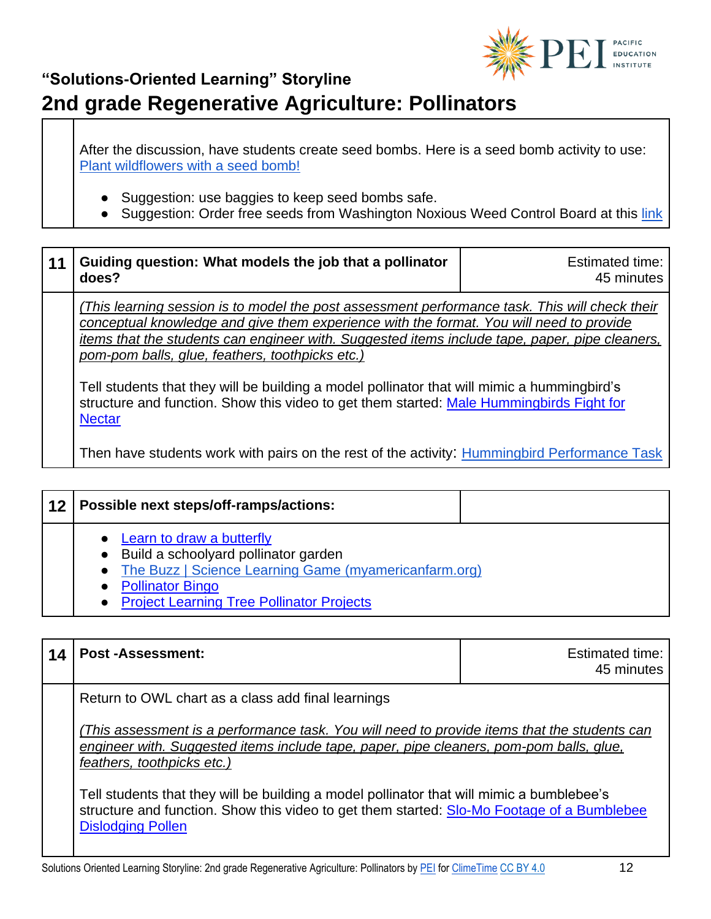

After the discussion, have students create seed bombs. Here is a seed bomb activity to use: [Plant wildflowers with a seed bomb!](https://www.wildlifetrusts.org/actions/how-make-seed-bomb)

- Suggestion: use baggies to keep seed bombs safe.
- Suggestion: Order free seeds from Washington Noxious Weed Control Board at this link

| 11 | Guiding question: What models the job that a pollinator<br>does?                                                                                                                                                                                                                                                                                                                                                                                                                                                                                           | Estimated time:<br>45 minutes |
|----|------------------------------------------------------------------------------------------------------------------------------------------------------------------------------------------------------------------------------------------------------------------------------------------------------------------------------------------------------------------------------------------------------------------------------------------------------------------------------------------------------------------------------------------------------------|-------------------------------|
|    | (This learning session is to model the post assessment performance task. This will check their<br>conceptual knowledge and give them experience with the format. You will need to provide<br>items that the students can engineer with. Suggested items include tape, paper, pipe cleaners,<br>pom-pom balls, glue, feathers, toothpicks etc.)<br>Tell students that they will be building a model pollinator that will mimic a hummingbird's<br>structure and function. Show this video to get them started: Male Hummingbirds Fight for<br><b>Nectar</b> |                               |
|    | Then have students work with pairs on the rest of the activity: Hummingbird Performance Task                                                                                                                                                                                                                                                                                                                                                                                                                                                               |                               |

| 12 | Possible next steps/off-ramps/actions:                                                                                                                                                                   |
|----|----------------------------------------------------------------------------------------------------------------------------------------------------------------------------------------------------------|
|    | Learn to draw a butterfly<br>• Build a schoolyard pollinator garden<br>• The Buzz   Science Learning Game (myamericanfarm.org)<br><b>Pollinator Bingo</b><br>• Project Learning Tree Pollinator Projects |

| 14 | <b>Post-Assessment:</b>                                                                                                                                                                                                                                                                                                                                                                                                                                                                            | <b>Estimated time:</b><br>45 minutes |
|----|----------------------------------------------------------------------------------------------------------------------------------------------------------------------------------------------------------------------------------------------------------------------------------------------------------------------------------------------------------------------------------------------------------------------------------------------------------------------------------------------------|--------------------------------------|
|    | Return to OWL chart as a class add final learnings<br>(This assessment is a performance task. You will need to provide items that the students can<br>engineer with. Suggested items include tape, paper, pipe cleaners, pom-pom balls, glue,<br>feathers, toothpicks etc.)<br>Tell students that they will be building a model pollinator that will mimic a bumblebee's<br>structure and function. Show this video to get them started: Slo-Mo Footage of a Bumblebee<br><b>Dislodging Pollen</b> |                                      |
|    |                                                                                                                                                                                                                                                                                                                                                                                                                                                                                                    |                                      |